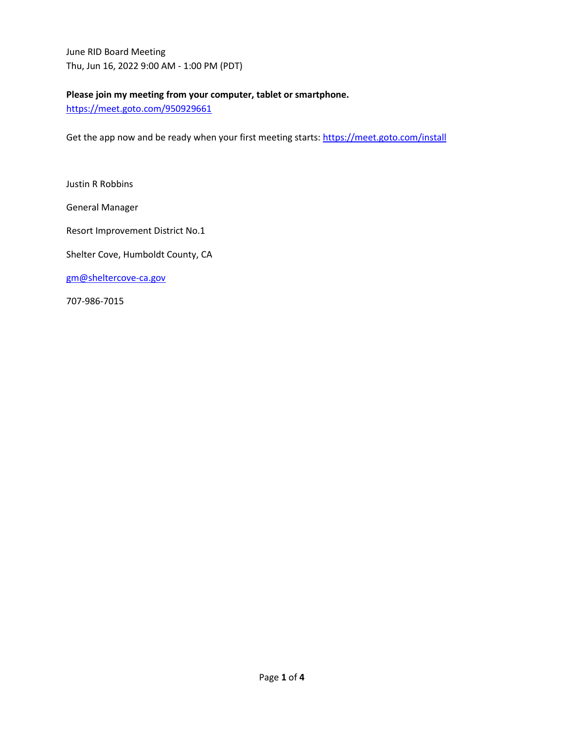June RID Board Meeting Thu, Jun 16, 2022 9:00 AM - 1:00 PM (PDT)

## **Please join my meeting from your computer, tablet or smartphone.**

<https://meet.goto.com/950929661>

Get the app now and be ready when your first meeting starts[: https://meet.goto.com/install](https://meet.goto.com/install)

Justin R Robbins

General Manager

Resort Improvement District No.1

Shelter Cove, Humboldt County, CA

[gm@sheltercove-ca.gov](mailto:gm@sheltercove-ca.gov)

707-986-7015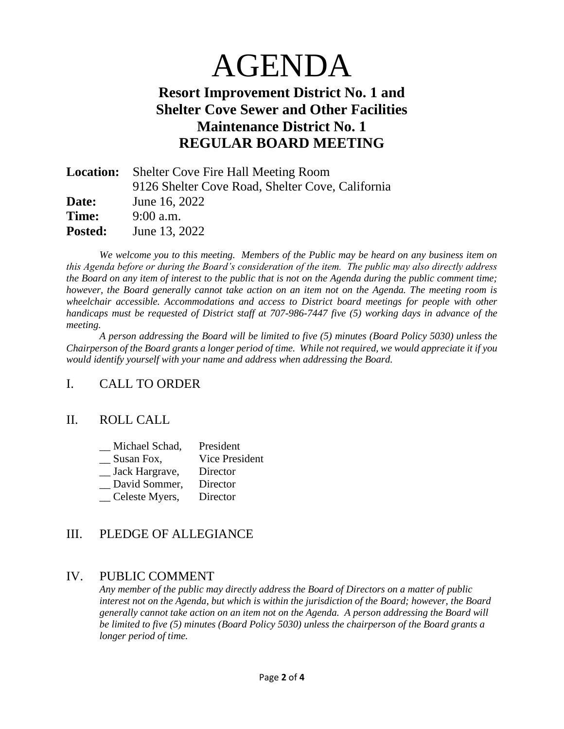# AGENDA

# **Resort Improvement District No. 1 and Shelter Cove Sewer and Other Facilities Maintenance District No. 1 REGULAR BOARD MEETING**

|                | <b>Location:</b> Shelter Cove Fire Hall Meeting Room |  |
|----------------|------------------------------------------------------|--|
|                | 9126 Shelter Cove Road, Shelter Cove, California     |  |
| Date:          | June 16, 2022                                        |  |
| Time:          | $9:00$ a.m.                                          |  |
| <b>Posted:</b> | June 13, 2022                                        |  |

*We welcome you to this meeting. Members of the Public may be heard on any business item on this Agenda before or during the Board's consideration of the item. The public may also directly address the Board on any item of interest to the public that is not on the Agenda during the public comment time; however, the Board generally cannot take action on an item not on the Agenda. The meeting room is wheelchair accessible. Accommodations and access to District board meetings for people with other handicaps must be requested of District staff at 707-986-7447 five (5) working days in advance of the meeting.*

*A person addressing the Board will be limited to five (5) minutes (Board Policy 5030) unless the Chairperson of the Board grants a longer period of time. While not required, we would appreciate it if you would identify yourself with your name and address when addressing the Board.*

# I. CALL TO ORDER

#### II. ROLL CALL

| Michael Schad, | President      |
|----------------|----------------|
| Susan Fox,     | Vice President |
| Jack Hargrave, | Director       |
| David Sommer,  | Director       |
| Celeste Myers, | Director       |

# III. PLEDGE OF ALLEGIANCE

#### IV. PUBLIC COMMENT

*Any member of the public may directly address the Board of Directors on a matter of public interest not on the Agenda, but which is within the jurisdiction of the Board; however, the Board generally cannot take action on an item not on the Agenda. A person addressing the Board will be limited to five (5) minutes (Board Policy 5030) unless the chairperson of the Board grants a longer period of time.*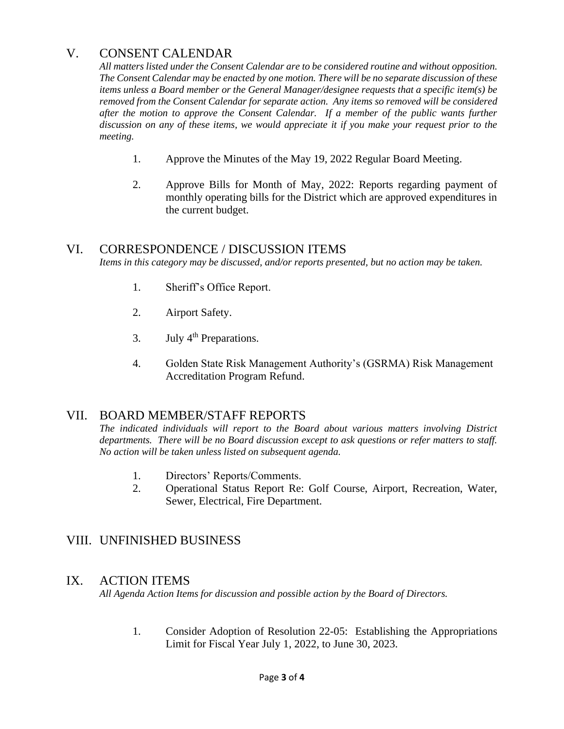# V. CONSENT CALENDAR

*All matters listed under the Consent Calendar are to be considered routine and without opposition. The Consent Calendar may be enacted by one motion. There will be no separate discussion of these items unless a Board member or the General Manager/designee requests that a specific item(s) be removed from the Consent Calendar for separate action. Any items so removed will be considered after the motion to approve the Consent Calendar. If a member of the public wants further discussion on any of these items, we would appreciate it if you make your request prior to the meeting.*

- 1. Approve the Minutes of the May 19, 2022 Regular Board Meeting.
- 2. Approve Bills for Month of May, 2022: Reports regarding payment of monthly operating bills for the District which are approved expenditures in the current budget.

#### VI. CORRESPONDENCE / DISCUSSION ITEMS

*Items in this category may be discussed, and/or reports presented, but no action may be taken.*

- 1. Sheriff's Office Report.
- 2. Airport Safety.
- 3. July  $4<sup>th</sup>$  Preparations.
- 4. Golden State Risk Management Authority's (GSRMA) Risk Management Accreditation Program Refund.

#### VII. BOARD MEMBER/STAFF REPORTS

*The indicated individuals will report to the Board about various matters involving District departments. There will be no Board discussion except to ask questions or refer matters to staff. No action will be taken unless listed on subsequent agenda.*

- 1. Directors' Reports/Comments.
- 2. Operational Status Report Re: Golf Course, Airport, Recreation, Water, Sewer, Electrical, Fire Department.

#### VIII. UNFINISHED BUSINESS

#### IX. ACTION ITEMS

*All Agenda Action Items for discussion and possible action by the Board of Directors.*

1. Consider Adoption of Resolution 22-05: Establishing the Appropriations Limit for Fiscal Year July 1, 2022, to June 30, 2023.